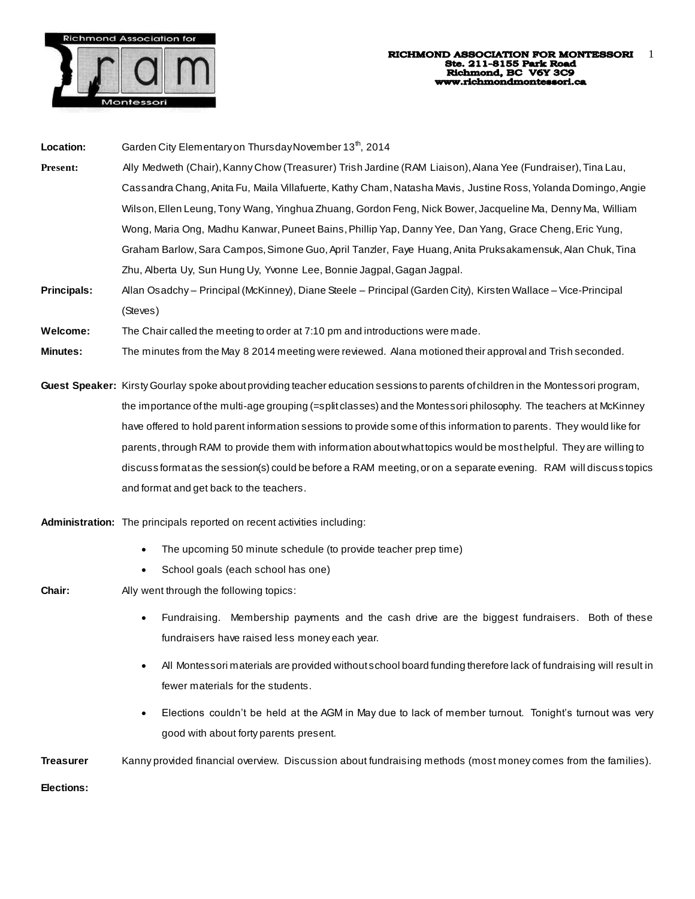

| Location: |  | Garden City Elementary on Thursday November 13 <sup>th</sup> , 2014 |  |
|-----------|--|---------------------------------------------------------------------|--|
|           |  |                                                                     |  |

- **Present:** Ally Medweth (Chair), Kanny Chow (Treasurer) Trish Jardine (RAM Liaison), Alana Yee (Fundraiser), Tina Lau, Cassandra Chang, Anita Fu, Maila Villafuerte, Kathy Cham, Natasha Mavis, Justine Ross, Yolanda Domingo, Angie Wilson, Ellen Leung, Tony Wang, Yinghua Zhuang, Gordon Feng, Nick Bower, Jacqueline Ma, Denny Ma, William Wong, Maria Ong, Madhu Kanwar, Puneet Bains, Phillip Yap, Danny Yee, Dan Yang, Grace Cheng, Eric Yung, Graham Barlow, Sara Campos, Simone Guo, April Tanzler, Faye Huang, Anita Pruksakamensuk, Alan Chuk, Tina Zhu, Alberta Uy, Sun Hung Uy, Yvonne Lee, Bonnie Jagpal, Gagan Jagpal.
- **Principals:** Allan Osadchy Principal (McKinney), Diane Steele Principal (Garden City), Kirsten Wallace Vice-Principal (Steves)

**Welcome:** The Chair called the meeting to order at 7:10 pm and introductions were made.

- **Minutes:** The minutes from the May 8 2014 meeting were reviewed. Alana motioned their approval and Trish seconded.
- **Guest Speaker:** Kirsty Gourlay spoke about providing teacher education sessions to parents of children in the Montessori program, the importance of the multi-age grouping (=split classes) and the Montessori philosophy. The teachers at McKinney have offered to hold parent information sessions to provide some of this information to parents. They would like for parents, through RAM to provide them with information about what topics would be most helpful. They are willing to discuss format as the session(s) could be before a RAM meeting, or on a separate evening. RAM will discuss topics and format and get back to the teachers.
- **Administration:** The principals reported on recent activities including:
	- The upcoming 50 minute schedule (to provide teacher prep time)
	- School goals (each school has one)
- 

**Chair:** Ally went through the following topics:

- Fundraising. Membership payments and the cash drive are the biggest fundraisers. Both of these fundraisers have raised less money each year.
- All Montessori materials are provided without school board funding therefore lack of fundraising will result in fewer materials for the students.
- Elections couldn't be held at the AGM in May due to lack of member turnout. Tonight's turnout was very good with about forty parents present.

**Treasurer** Kanny provided financial overview. Discussion about fundraising methods (most money comes from the families).

**Elections:**